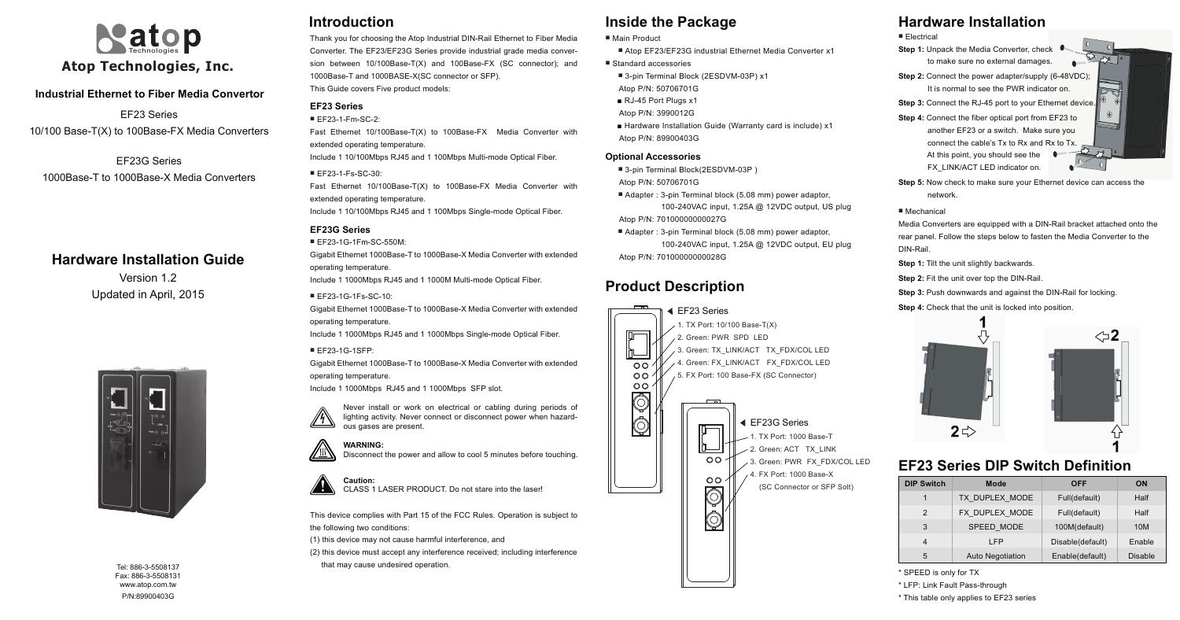### **Industrial Ethernet to Fiber Media Convertor**

Version 1.2 Updated in April, 2015



## **Hardware Installation Guide**

EF23 Series 1. TX Port: 10/100 Base-T(X) 2. Green: PWR SPD LED 3. Green: TX\_LINK/ACT TX\_FDX/COL LED 4. Green: FX\_LINK/ACT FX\_FDX/COL LED  $0<sup>o</sup>$  $O<sub>O</sub>$ 5. FX Port: 100 Base-FX (SC Connector)  $O<sub>O</sub>$  $\overline{\mathbb{Q}}$  $\hat{\mathbb{Q}}$ EF23G Series 1. TX Port: 1000 Base-T 2. Green: ACT TX\_LINK  $O<sub>O</sub>$ 5. 3. Green: PWR FX\_FDX/COL LED 4. FX Port: 1000 Base-X  $O<sub>O</sub>$  (SC Connector or SFP Solt)  $\overline{\mathbb{Q}}$  $\hat{\mathbb{O}}$ 

## **Introduction Inside the Package**

## **Product Description**

Tel: 886-3-5508137 Fax: 886-3-5508131 www.atop.com.tw P/N:89900403G



EF23 Series 10/100 Base-T(X) to 100Base-FX Media Converters

EF23G Series 1000Base-T to 1000Base-X Media Converters Thank you for choosing the Atop Industrial DIN-Rail Ethernet to Fiber Media Converter. The EF23/EF23G Series provide industrial grade media conversion between 10/100Base-T(X) and 100Base-FX (SC connector); and 1000Base-T and 1000BASE-X(SC connector or SFP). This Guide covers Five product models:

### **EF23 Series**

#### ■ EF23-1-Fm-SC-2:

Fast Ethernet 10/100Base-T(X) to 100Base-FX Media Converter with extended operating temperature. Include 1 10/100Mbps RJ45 and 1 100Mbps Multi-mode Optical Fiber.

## $\blacksquare$  FF23-1-Fs-SC-30:

Fast Ethernet 10/100Base-T(X) to 100Base-FX Media Converter with extended operating temperature. Include 1 10/100Mbps RJ45 and 1 100Mbps Single-mode Optical Fiber.

### **EF23G Series**

■ EF23-1G-1Fm-SC-550M: Gigabit Ethernet 1000Base-T to 1000Base-X Media Converter with extended operating temperature. Include 1 1000Mbps RJ45 and 1 1000M Multi-mode Optical Fiber. ■ EF23-1G-1Fs-SC-10:

Gigabit Ethernet 1000Base-T to 1000Base-X Media Converter with extended operating temperature. Include 1 1000Mbps RJ45 and 1 1000Mbps Single-mode Optical Fiber.

■ EF23-1G-1SFP: Gigabit Ethernet 1000Base-T to 1000Base-X Media Converter with extended operating temperature.

Include 1 1000Mbps RJ45 and 1 1000Mbps SFP slot.



This device complies with Part 15 of the FCC Rules. Operation is subject to the following two conditions:

- **5:** Now check to make sure your Ethernet device can access the network.
- chanical
- a Converters are equipped with a DIN-Rail bracket attached onto the panel. Follow the steps below to fasten the Media Converter to the
- **1:** Tilt the unit slightly backwards.
- **Step 2:** Fit the unit over top the DIN-Rail.
- **Step 3:** Push downwards and against the DIN-Rail for locking.
- **Step 4:** Check that the unit is locked into position.





(1) this device may not cause harmful interference, and

(2) this device must accept any interference received; including interference that may cause undesired operation.

# **Hardware Installation**

ctrical

- 1: Unpack the Media Converter, check to make sure no external damages.
- 2: Connect the power adapter/supply (6-48VDC); It is normal to see the PWR indicator on.
- **3:** Connect the RJ-45 port to your Ethernet device. 4: Connect the fiber optical port from EF23 to
- another EF23 or a switch. Make sure you connect the cable's Tx to Rx and Rx to Tx. At this point, you should see the FX\_LINK/ACT LED indicator on.
- $\sum$

 $\sim$ 

| ■ Main Product                                              | ■ Electri            |
|-------------------------------------------------------------|----------------------|
| ■ Atop EF23/EF23G industrial Ethernet Media Converter x1    | Step $1:1$           |
| ■ Standard accessories                                      |                      |
| ■ 3-pin Terminal Block (2ESDVM-03P) x1                      | Step $2:$            |
| Atop P/N: 50706701G                                         |                      |
| RJ-45 Port Plugs x1                                         | Step $3:0$           |
| Atop P/N: 3990012G                                          | Step $4:$            |
| ■ Hardware Installation Guide (Warranty card is include) x1 |                      |
| Atop P/N: 89900403G                                         |                      |
| <b>Optional Accessories</b>                                 |                      |
| ■ 3-pin Terminal Block(2ESDVM-03P)                          |                      |
| Atop P/N: 50706701G                                         | Step 5: I            |
| Adapter: 3-pin Terminal block (5.08 mm) power adaptor,      |                      |
| 100-240VAC input, 1.25A @ 12VDC output, US plug             | $\blacksquare$ Mecha |
| Atop P/N: 70100000000027G                                   | Media C              |
| Adapter: 3-pin Terminal block (5.08 mm) power adaptor,      | rear pan             |
| 100-240VAC input, 1.25A @ 12VDC output, EU plug             | DIN-Rail             |
| Atop P/N: 70100000000028G                                   | Step 1:              |
|                                                             |                      |

## **EF23 Series DIP Switch Definition**

- \* SPEED is only for TX
- \* LFP: Link Fault Pass-through
- \* This table only applies to EF23 series

**WARNING:**  Disconnect the power and allow to cool 5 minutes before touching.

Never install or work on electrical or cabling during periods of lighting activity. Never connect or disconnect power when hazardous gases are present.





CLASS 1 LASER PRODUCT. Do not stare into the laser!



| ch | Mode                    | <b>OFF</b>       | <b>ON</b>      |
|----|-------------------------|------------------|----------------|
|    | TX DUPLEX MODE          | Full(default)    | Half           |
|    | FX DUPLEX MODE          | Full(default)    | Half           |
|    | SPEED MODE              | 100M(default)    | 10M            |
|    | I FP                    | Disable(default) | Enable         |
|    | <b>Auto Negotiation</b> | Enable(default)  | <b>Disable</b> |